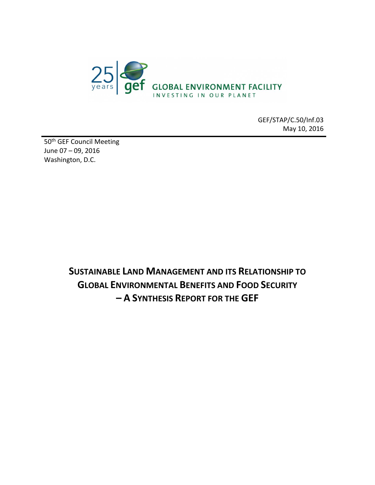

GEF/STAP/C.50/Inf.03 May 10, 2016

50<sup>th</sup> GEF Council Meeting June 07 – 09, 2016 Washington, D.C.

> **SUSTAINABLE LAND MANAGEMENT AND ITS RELATIONSHIP TO GLOBAL ENVIRONMENTAL BENEFITS AND FOOD SECURITY – A SYNTHESIS REPORT FOR THE GEF**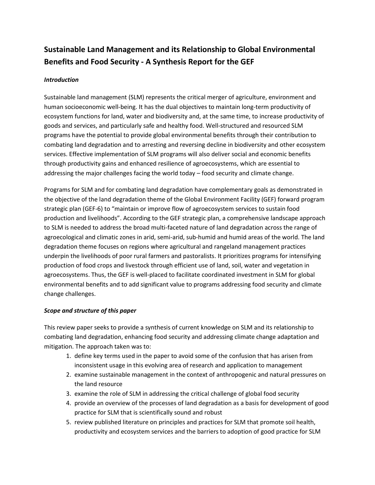# **Sustainable Land Management and its Relationship to Global Environmental Benefits and Food Security - A Synthesis Report for the GEF**

## *Introduction*

Sustainable land management (SLM) represents the critical merger of agriculture, environment and human socioeconomic well-being. It has the dual objectives to maintain long-term productivity of ecosystem functions for land, water and biodiversity and, at the same time, to increase productivity of goods and services, and particularly safe and healthy food. Well-structured and resourced SLM programs have the potential to provide global environmental benefits through their contribution to combating land degradation and to arresting and reversing decline in biodiversity and other ecosystem services. Effective implementation of SLM programs will also deliver social and economic benefits through productivity gains and enhanced resilience of agroecosystems, which are essential to addressing the major challenges facing the world today – food security and climate change.

Programs for SLM and for combating land degradation have complementary goals as demonstrated in the objective of the land degradation theme of the Global Environment Facility (GEF) forward program strategic plan (GEF-6) to "maintain or improve flow of agroecosystem services to sustain food production and livelihoods". According to the GEF strategic plan, a comprehensive landscape approach to SLM is needed to address the broad multi-faceted nature of land degradation across the range of agroecological and climatic zones in arid, semi-arid, sub-humid and humid areas of the world. The land degradation theme focuses on regions where agricultural and rangeland management practices underpin the livelihoods of poor rural farmers and pastoralists. It prioritizes programs for intensifying production of food crops and livestock through efficient use of land, soil, water and vegetation in agroecosystems. Thus, the GEF is well-placed to facilitate coordinated investment in SLM for global environmental benefits and to add significant value to programs addressing food security and climate change challenges.

#### *Scope and structure of this paper*

This review paper seeks to provide a synthesis of current knowledge on SLM and its relationship to combating land degradation, enhancing food security and addressing climate change adaptation and mitigation. The approach taken was to:

- 1. define key terms used in the paper to avoid some of the confusion that has arisen from inconsistent usage in this evolving area of research and application to management
- 2. examine sustainable management in the context of anthropogenic and natural pressures on the land resource
- 3. examine the role of SLM in addressing the critical challenge of global food security
- 4. provide an overview of the processes of land degradation as a basis for development of good practice for SLM that is scientifically sound and robust
- 5. review published literature on principles and practices for SLM that promote soil health, productivity and ecosystem services and the barriers to adoption of good practice for SLM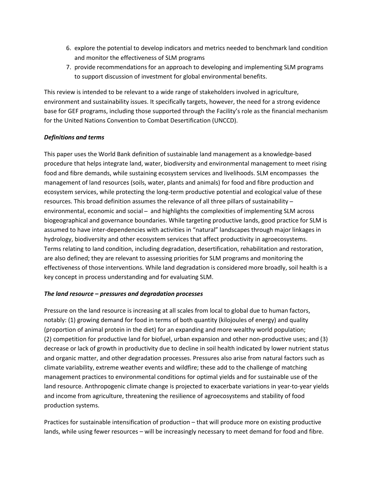- 6. explore the potential to develop indicators and metrics needed to benchmark land condition and monitor the effectiveness of SLM programs
- 7. provide recommendations for an approach to developing and implementing SLM programs to support discussion of investment for global environmental benefits.

This review is intended to be relevant to a wide range of stakeholders involved in agriculture, environment and sustainability issues. It specifically targets, however, the need for a strong evidence base for GEF programs, including those supported through the Facility's role as the financial mechanism for the United Nations Convention to Combat Desertification (UNCCD).

#### *Definitions and terms*

This paper uses the World Bank definition of sustainable land management as a knowledge-based procedure that helps integrate land, water, biodiversity and environmental management to meet rising food and fibre demands, while sustaining ecosystem services and livelihoods. SLM encompasses the management of land resources (soils, water, plants and animals) for food and fibre production and ecosystem services, while protecting the long-term productive potential and ecological value of these resources. This broad definition assumes the relevance of all three pillars of sustainability environmental, economic and social ̶ and highlights the complexities of implementing SLM across biogeographical and governance boundaries. While targeting productive lands, good practice for SLM is assumed to have inter-dependencies with activities in "natural" landscapes through major linkages in hydrology, biodiversity and other ecosystem services that affect productivity in agroecosystems. Terms relating to land condition, including degradation, desertification, rehabilitation and restoration, are also defined; they are relevant to assessing priorities for SLM programs and monitoring the effectiveness of those interventions. While land degradation is considered more broadly, soil health is a key concept in process understanding and for evaluating SLM.

#### *The land resource – pressures and degradation processes*

Pressure on the land resource is increasing at all scales from local to global due to human factors, notably: (1) growing demand for food in terms of both quantity (kilojoules of energy) and quality (proportion of animal protein in the diet) for an expanding and more wealthy world population; (2) competition for productive land for biofuel, urban expansion and other non-productive uses; and (3) decrease or lack of growth in productivity due to decline in soil health indicated by lower nutrient status and organic matter, and other degradation processes. Pressures also arise from natural factors such as climate variability, extreme weather events and wildfire; these add to the challenge of matching management practices to environmental conditions for optimal yields and for sustainable use of the land resource. Anthropogenic climate change is projected to exacerbate variations in year-to-year yields and income from agriculture, threatening the resilience of agroecosystems and stability of food production systems.

Practices for sustainable intensification of production – that will produce more on existing productive lands, while using fewer resources – will be increasingly necessary to meet demand for food and fibre.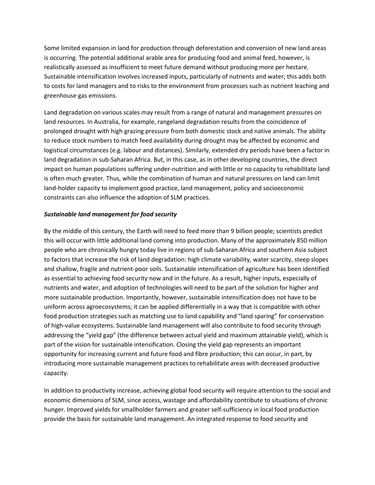Some limited expansion in land for production through deforestation and conversion of new land areas is occurring. The potential additional arable area for producing food and animal feed, however, is realistically assessed as insufficient to meet future demand without producing more per hectare. Sustainable intensification involves increased inputs, particularly of nutrients and water; this adds both to costs for land managers and to risks to the environment from processes such as nutrient leaching and greenhouse gas emissions.

Land degradation on various scales may result from a range of natural and management pressures on land resources. In Australia, for example, rangeland degradation results from the coincidence of prolonged drought with high grazing pressure from both domestic stock and native animals. The ability to reduce stock numbers to match feed availability during drought may be affected by economic and logistical circumstances (e.g. labour and distances). Similarly, extended dry periods have been a factor in land degradation in sub-Saharan Africa. But, in this case, as in other developing countries, the direct impact on human populations suffering under-nutrition and with little or no capacity to rehabilitate land is often much greater. Thus, while the combination of human and natural pressures on land can limit land-holder capacity to implement good practice, land management, policy and socioeconomic constraints can also influence the adoption of SLM practices.

## *Sustainable land management for food security*

By the middle of this century, the Earth will need to feed more than 9 billion people; scientists predict this will occur with little additional land coming into production. Many of the approximately 850 million people who are chronically hungry today live in regions of sub-Saharan Africa and southern Asia subject to factors that increase the risk of land degradation: high climate variability, water scarcity, steep slopes and shallow, fragile and nutrient-poor soils. Sustainable intensification of agriculture has been identified as essential to achieving food security now and in the future. As a result, higher inputs, especially of nutrients and water, and adoption of technologies will need to be part of the solution for higher and more sustainable production. Importantly, however, sustainable intensification does not have to be uniform across agroecosystems; it can be applied differentially in a way that is compatible with other food production strategies such as matching use to land capability and "land sparing" for conservation of high-value ecosystems. Sustainable land management will also contribute to food security through addressing the "yield gap" (the difference between actual yield and maximum attainable yield), which is part of the vision for sustainable intensification. Closing the yield gap represents an important opportunity for increasing current and future food and fibre production; this can occur, in part, by introducing more sustainable management practices to rehabilitate areas with decreased productive capacity.

In addition to productivity increase, achieving global food security will require attention to the social and economic dimensions of SLM, since access, wastage and affordability contribute to situations of chronic hunger. Improved yields for smallholder farmers and greater self-sufficiency in local food production provide the basis for sustainable land management. An integrated response to food security and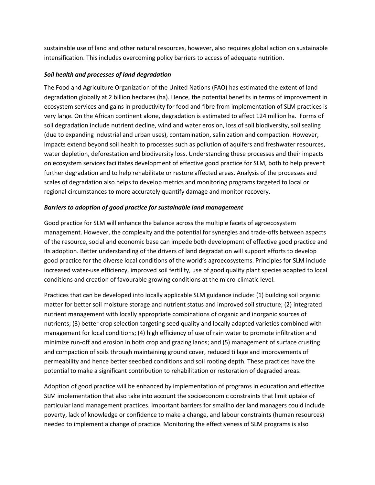sustainable use of land and other natural resources, however, also requires global action on sustainable intensification. This includes overcoming policy barriers to access of adequate nutrition.

## *Soil health and processes of land degradation*

The Food and Agriculture Organization of the United Nations (FAO) has estimated the extent of land degradation globally at 2 billion hectares (ha). Hence, the potential benefits in terms of improvement in ecosystem services and gains in productivity for food and fibre from implementation of SLM practices is very large. On the African continent alone, degradation is estimated to affect 124 million ha. Forms of soil degradation include nutrient decline, wind and water erosion, loss of soil biodiversity, soil sealing (due to expanding industrial and urban uses), contamination, salinization and compaction. However, impacts extend beyond soil health to processes such as pollution of aquifers and freshwater resources, water depletion, deforestation and biodiversity loss. Understanding these processes and their impacts on ecosystem services facilitates development of effective good practice for SLM, both to help prevent further degradation and to help rehabilitate or restore affected areas. Analysis of the processes and scales of degradation also helps to develop metrics and monitoring programs targeted to local or regional circumstances to more accurately quantify damage and monitor recovery.

## *Barriers to adoption of good practice for sustainable land management*

Good practice for SLM will enhance the balance across the multiple facets of agroecosystem management. However, the complexity and the potential for synergies and trade-offs between aspects of the resource, social and economic base can impede both development of effective good practice and its adoption. Better understanding of the drivers of land degradation will support efforts to develop good practice for the diverse local conditions of the world's agroecosystems. Principles for SLM include increased water-use efficiency, improved soil fertility, use of good quality plant species adapted to local conditions and creation of favourable growing conditions at the micro-climatic level.

Practices that can be developed into locally applicable SLM guidance include: (1) building soil organic matter for better soil moisture storage and nutrient status and improved soil structure; (2) integrated nutrient management with locally appropriate combinations of organic and inorganic sources of nutrients; (3) better crop selection targeting seed quality and locally adapted varieties combined with management for local conditions; (4) high efficiency of use of rain water to promote infiltration and minimize run-off and erosion in both crop and grazing lands; and (5) management of surface crusting and compaction of soils through maintaining ground cover, reduced tillage and improvements of permeability and hence better seedbed conditions and soil rooting depth. These practices have the potential to make a significant contribution to rehabilitation or restoration of degraded areas.

Adoption of good practice will be enhanced by implementation of programs in education and effective SLM implementation that also take into account the socioeconomic constraints that limit uptake of particular land management practices. Important barriers for smallholder land managers could include poverty, lack of knowledge or confidence to make a change, and labour constraints (human resources) needed to implement a change of practice. Monitoring the effectiveness of SLM programs is also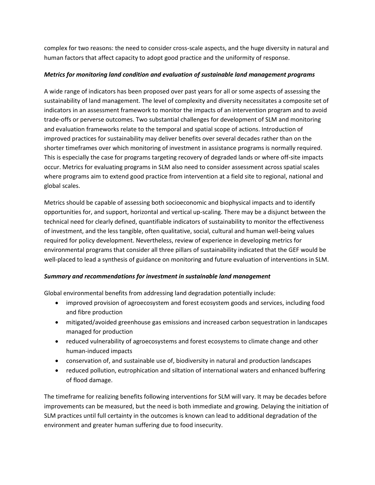complex for two reasons: the need to consider cross-scale aspects, and the huge diversity in natural and human factors that affect capacity to adopt good practice and the uniformity of response.

# *Metrics for monitoring land condition and evaluation of sustainable land management programs*

A wide range of indicators has been proposed over past years for all or some aspects of assessing the sustainability of land management. The level of complexity and diversity necessitates a composite set of indicators in an assessment framework to monitor the impacts of an intervention program and to avoid trade-offs or perverse outcomes. Two substantial challenges for development of SLM and monitoring and evaluation frameworks relate to the temporal and spatial scope of actions. Introduction of improved practices for sustainability may deliver benefits over several decades rather than on the shorter timeframes over which monitoring of investment in assistance programs is normally required. This is especially the case for programs targeting recovery of degraded lands or where off-site impacts occur. Metrics for evaluating programs in SLM also need to consider assessment across spatial scales where programs aim to extend good practice from intervention at a field site to regional, national and global scales.

Metrics should be capable of assessing both socioeconomic and biophysical impacts and to identify opportunities for, and support, horizontal and vertical up-scaling. There may be a disjunct between the technical need for clearly defined, quantifiable indicators of sustainability to monitor the effectiveness of investment, and the less tangible, often qualitative, social, cultural and human well-being values required for policy development. Nevertheless, review of experience in developing metrics for environmental programs that consider all three pillars of sustainability indicated that the GEF would be well-placed to lead a synthesis of guidance on monitoring and future evaluation of interventions in SLM.

# *Summary and recommendations for investment in sustainable land management*

Global environmental benefits from addressing land degradation potentially include:

- improved provision of agroecosystem and forest ecosystem goods and services, including food and fibre production
- mitigated/avoided greenhouse gas emissions and increased carbon sequestration in landscapes managed for production
- reduced vulnerability of agroecosystems and forest ecosystems to climate change and other human-induced impacts
- conservation of, and sustainable use of, biodiversity in natural and production landscapes
- reduced pollution, eutrophication and siltation of international waters and enhanced buffering of flood damage.

The timeframe for realizing benefits following interventions for SLM will vary. It may be decades before improvements can be measured, but the need is both immediate and growing. Delaying the initiation of SLM practices until full certainty in the outcomes is known can lead to additional degradation of the environment and greater human suffering due to food insecurity.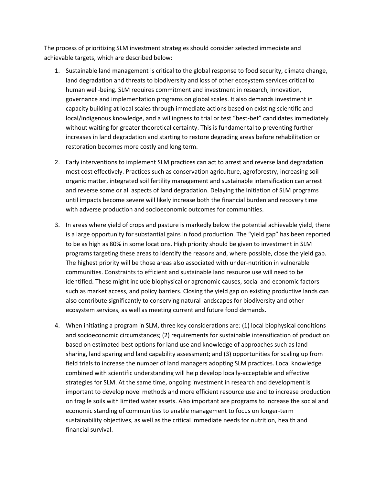The process of prioritizing SLM investment strategies should consider selected immediate and achievable targets, which are described below:

- 1. Sustainable land management is critical to the global response to food security, climate change, land degradation and threats to biodiversity and loss of other ecosystem services critical to human well-being. SLM requires commitment and investment in research, innovation, governance and implementation programs on global scales. It also demands investment in capacity building at local scales through immediate actions based on existing scientific and local/indigenous knowledge, and a willingness to trial or test "best-bet" candidates immediately without waiting for greater theoretical certainty. This is fundamental to preventing further increases in land degradation and starting to restore degrading areas before rehabilitation or restoration becomes more costly and long term.
- 2. Early interventions to implement SLM practices can act to arrest and reverse land degradation most cost effectively. Practices such as conservation agriculture, agroforestry, increasing soil organic matter, integrated soil fertility management and sustainable intensification can arrest and reverse some or all aspects of land degradation. Delaying the initiation of SLM programs until impacts become severe will likely increase both the financial burden and recovery time with adverse production and socioeconomic outcomes for communities.
- 3. In areas where yield of crops and pasture is markedly below the potential achievable yield, there is a large opportunity for substantial gains in food production. The "yield gap" has been reported to be as high as 80% in some locations. High priority should be given to investment in SLM programs targeting these areas to identify the reasons and, where possible, close the yield gap. The highest priority will be those areas also associated with under-nutrition in vulnerable communities. Constraints to efficient and sustainable land resource use will need to be identified. These might include biophysical or agronomic causes, social and economic factors such as market access, and policy barriers. Closing the yield gap on existing productive lands can also contribute significantly to conserving natural landscapes for biodiversity and other ecosystem services, as well as meeting current and future food demands.
- 4. When initiating a program in SLM, three key considerations are: (1) local biophysical conditions and socioeconomic circumstances; (2) requirements for sustainable intensification of production based on estimated best options for land use and knowledge of approaches such as land sharing, land sparing and land capability assessment; and (3) opportunities for scaling up from field trials to increase the number of land managers adopting SLM practices. Local knowledge combined with scientific understanding will help develop locally-acceptable and effective strategies for SLM. At the same time, ongoing investment in research and development is important to develop novel methods and more efficient resource use and to increase production on fragile soils with limited water assets. Also important are programs to increase the social and economic standing of communities to enable management to focus on longer-term sustainability objectives, as well as the critical immediate needs for nutrition, health and financial survival.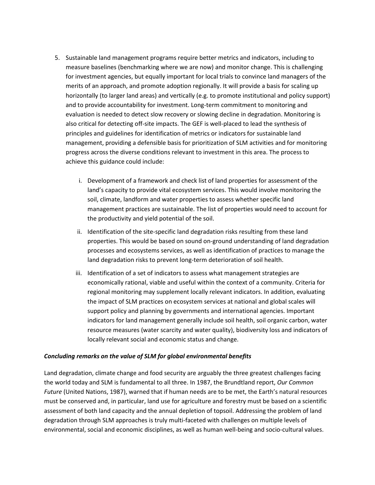- 5. Sustainable land management programs require better metrics and indicators, including to measure baselines (benchmarking where we are now) and monitor change. This is challenging for investment agencies, but equally important for local trials to convince land managers of the merits of an approach, and promote adoption regionally. It will provide a basis for scaling up horizontally (to larger land areas) and vertically (e.g. to promote institutional and policy support) and to provide accountability for investment. Long-term commitment to monitoring and evaluation is needed to detect slow recovery or slowing decline in degradation. Monitoring is also critical for detecting off-site impacts. The GEF is well-placed to lead the synthesis of principles and guidelines for identification of metrics or indicators for sustainable land management, providing a defensible basis for prioritization of SLM activities and for monitoring progress across the diverse conditions relevant to investment in this area. The process to achieve this guidance could include:
	- i. Development of a framework and check list of land properties for assessment of the land's capacity to provide vital ecosystem services. This would involve monitoring the soil, climate, landform and water properties to assess whether specific land management practices are sustainable. The list of properties would need to account for the productivity and yield potential of the soil.
	- ii. Identification of the site-specific land degradation risks resulting from these land properties. This would be based on sound on-ground understanding of land degradation processes and ecosystems services, as well as identification of practices to manage the land degradation risks to prevent long-term deterioration of soil health.
	- iii. Identification of a set of indicators to assess what management strategies are economically rational, viable and useful within the context of a community. Criteria for regional monitoring may supplement locally relevant indicators. In addition, evaluating the impact of SLM practices on ecosystem services at national and global scales will support policy and planning by governments and international agencies. Important indicators for land management generally include soil health, soil organic carbon, water resource measures (water scarcity and water quality), biodiversity loss and indicators of locally relevant social and economic status and change.

#### *Concluding remarks on the value of SLM for global environmental benefits*

Land degradation, climate change and food security are arguably the three greatest challenges facing the world today and SLM is fundamental to all three. In 1987, the Brundtland report, *Our Common Future* (United Nations, 1987), warned that if human needs are to be met, the Earth's natural resources must be conserved and, in particular, land use for agriculture and forestry must be based on a scientific assessment of both land capacity and the annual depletion of topsoil. Addressing the problem of land degradation through SLM approaches is truly multi-faceted with challenges on multiple levels of environmental, social and economic disciplines, as well as human well-being and socio-cultural values.